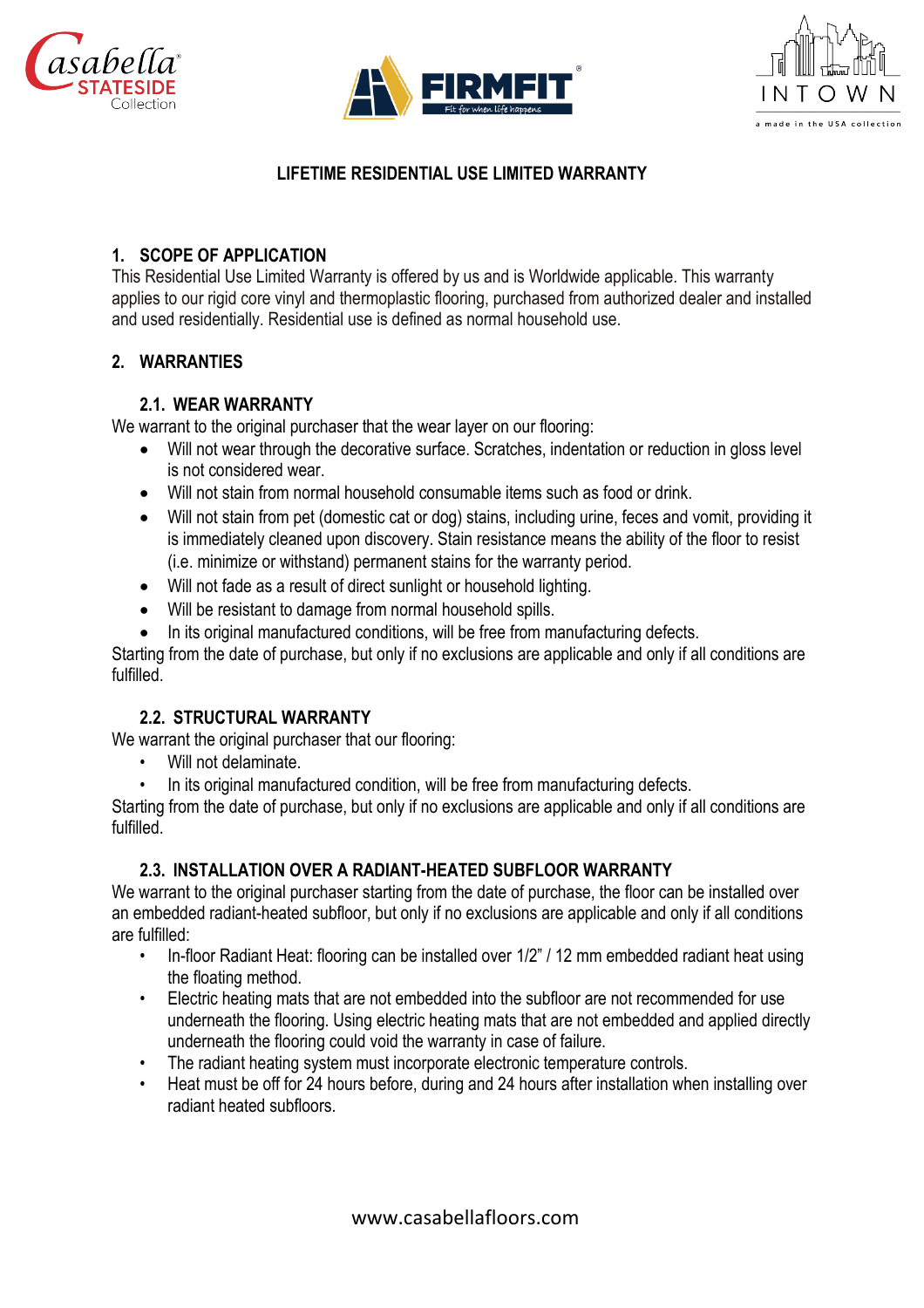





# **LIFETIME RESIDENTIAL USE LIMITED WARRANTY**

## **1. SCOPE OF APPLICATION**

This Residential Use Limited Warranty is offered by us and is Worldwide applicable. This warranty applies to our rigid core vinyl and thermoplastic flooring, purchased from authorized dealer and installed and used residentially. Residential use is defined as normal household use.

## **2. WARRANTIES**

## **2.1. WEAR WARRANTY**

We warrant to the original purchaser that the wear layer on our flooring:

- Will not wear through the decorative surface. Scratches, indentation or reduction in gloss level is not considered wear.
- Will not stain from normal household consumable items such as food or drink.
- Will not stain from pet (domestic cat or dog) stains, including urine, feces and vomit, providing it is immediately cleaned upon discovery. Stain resistance means the ability of the floor to resist (i.e. minimize or withstand) permanent stains for the warranty period.
- Will not fade as a result of direct sunlight or household lighting.
- Will be resistant to damage from normal household spills.
- In its original manufactured conditions, will be free from manufacturing defects.

Starting from the date of purchase, but only if no exclusions are applicable and only if all conditions are fulfilled.

# **2.2. STRUCTURAL WARRANTY**

We warrant the original purchaser that our flooring:

- Will not delaminate.
- In its original manufactured condition, will be free from manufacturing defects.

Starting from the date of purchase, but only if no exclusions are applicable and only if all conditions are fulfilled.

#### **2.3. INSTALLATION OVER A RADIANT-HEATED SUBFLOOR WARRANTY**

We warrant to the original purchaser starting from the date of purchase, the floor can be installed over an embedded radiant-heated subfloor, but only if no exclusions are applicable and only if all conditions are fulfilled:

- In-floor Radiant Heat: flooring can be installed over 1/2" / 12 mm embedded radiant heat using the floating method.
- Electric heating mats that are not embedded into the subfloor are not recommended for use underneath the flooring. Using electric heating mats that are not embedded and applied directly underneath the flooring could void the warranty in case of failure.
- The radiant heating system must incorporate electronic temperature controls.
- Heat must be off for 24 hours before, during and 24 hours after installation when installing over radiant heated subfloors.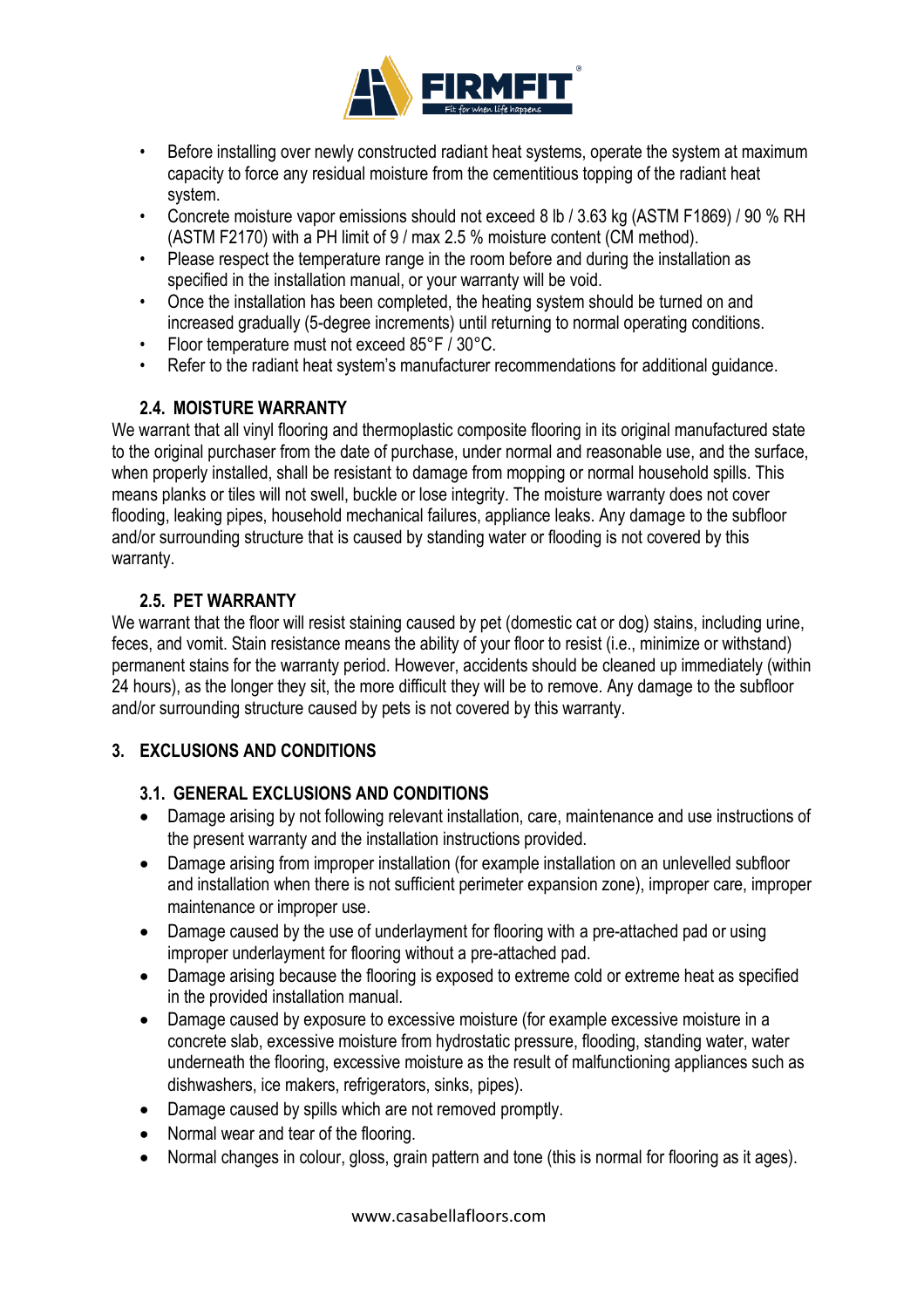

- Before installing over newly constructed radiant heat systems, operate the system at maximum capacity to force any residual moisture from the cementitious topping of the radiant heat system.
- Concrete moisture vapor emissions should not exceed 8 lb / 3.63 kg (ASTM F1869) / 90 % RH (ASTM F2170) with a PH limit of 9 / max 2.5 % moisture content (CM method).
- Please respect the temperature range in the room before and during the installation as specified in the installation manual, or your warranty will be void.
- Once the installation has been completed, the heating system should be turned on and increased gradually (5-degree increments) until returning to normal operating conditions.
- Floor temperature must not exceed 85°F / 30°C.
- Refer to the radiant heat system's manufacturer recommendations for additional guidance.

# **2.4. MOISTURE WARRANTY**

We warrant that all vinyl flooring and thermoplastic composite flooring in its original manufactured state to the original purchaser from the date of purchase, under normal and reasonable use, and the surface, when properly installed, shall be resistant to damage from mopping or normal household spills. This means planks or tiles will not swell, buckle or lose integrity. The moisture warranty does not cover flooding, leaking pipes, household mechanical failures, appliance leaks. Any damage to the subfloor and/or surrounding structure that is caused by standing water or flooding is not covered by this warranty.

# **2.5. PET WARRANTY**

We warrant that the floor will resist staining caused by pet (domestic cat or dog) stains, including urine, feces, and vomit. Stain resistance means the ability of your floor to resist (i.e., minimize or withstand) permanent stains for the warranty period. However, accidents should be cleaned up immediately (within 24 hours), as the longer they sit, the more difficult they will be to remove. Any damage to the subfloor and/or surrounding structure caused by pets is not covered by this warranty.

# **3. EXCLUSIONS AND CONDITIONS**

# **3.1. GENERAL EXCLUSIONS AND CONDITIONS**

- Damage arising by not following relevant installation, care, maintenance and use instructions of the present warranty and the installation instructions provided.
- Damage arising from improper installation (for example installation on an unlevelled subfloor and installation when there is not sufficient perimeter expansion zone), improper care, improper maintenance or improper use.
- Damage caused by the use of underlayment for flooring with a pre-attached pad or using improper underlayment for flooring without a pre-attached pad.
- Damage arising because the flooring is exposed to extreme cold or extreme heat as specified in the provided installation manual.
- Damage caused by exposure to excessive moisture (for example excessive moisture in a concrete slab, excessive moisture from hydrostatic pressure, flooding, standing water, water underneath the flooring, excessive moisture as the result of malfunctioning appliances such as dishwashers, ice makers, refrigerators, sinks, pipes).
- Damage caused by spills which are not removed promptly.
- Normal wear and tear of the flooring.
- Normal changes in colour, gloss, grain pattern and tone (this is normal for flooring as it ages).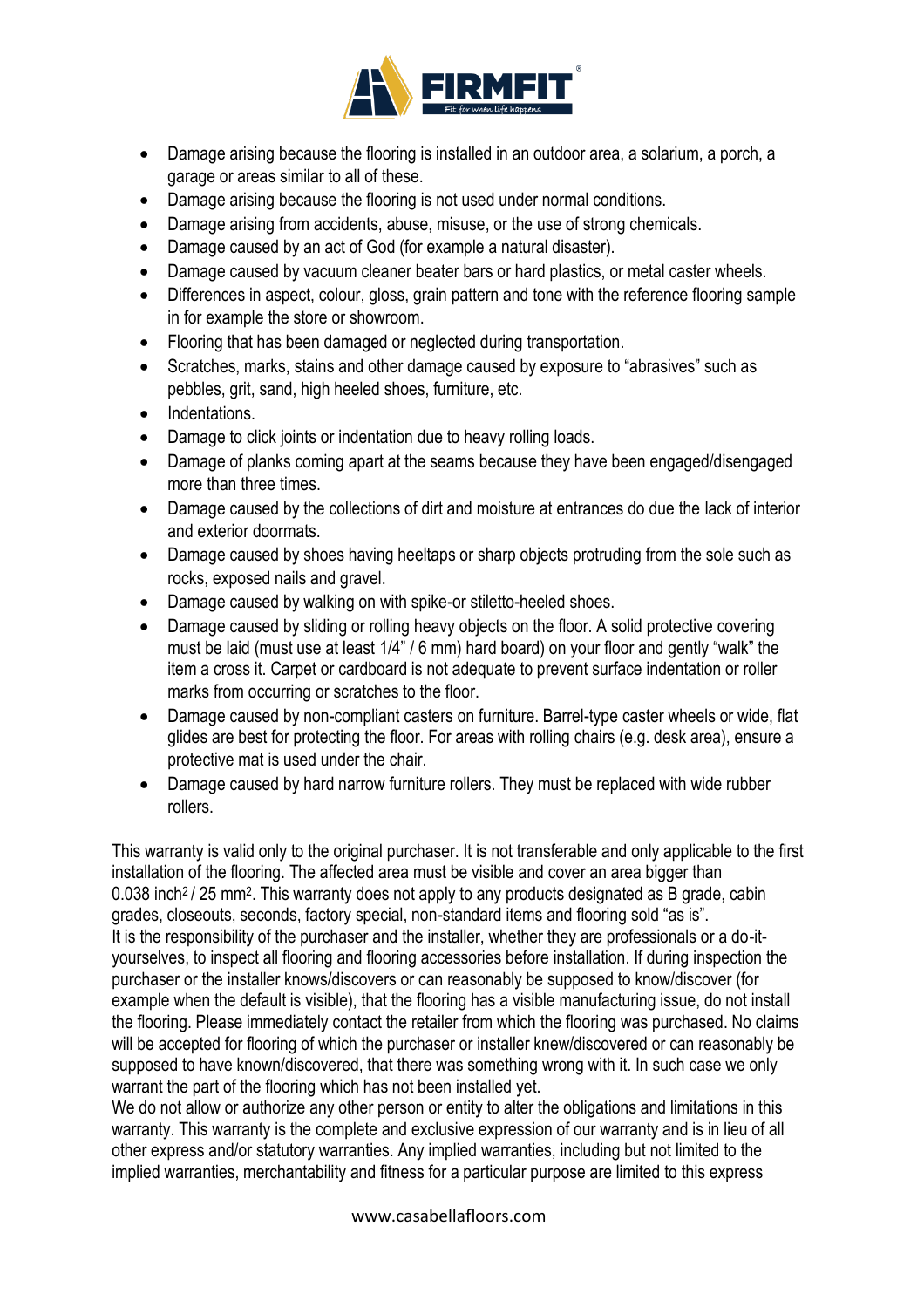

- Damage arising because the flooring is installed in an outdoor area, a solarium, a porch, a garage or areas similar to all of these.
- Damage arising because the flooring is not used under normal conditions.
- Damage arising from accidents, abuse, misuse, or the use of strong chemicals.
- Damage caused by an act of God (for example a natural disaster).
- Damage caused by vacuum cleaner beater bars or hard plastics, or metal caster wheels.
- Differences in aspect, colour, gloss, grain pattern and tone with the reference flooring sample in for example the store or showroom.
- Flooring that has been damaged or neglected during transportation.
- Scratches, marks, stains and other damage caused by exposure to "abrasives" such as pebbles, grit, sand, high heeled shoes, furniture, etc.
- Indentations.
- Damage to click joints or indentation due to heavy rolling loads.
- Damage of planks coming apart at the seams because they have been engaged/disengaged more than three times.
- Damage caused by the collections of dirt and moisture at entrances do due the lack of interior and exterior doormats.
- Damage caused by shoes having heeltaps or sharp objects protruding from the sole such as rocks, exposed nails and gravel.
- Damage caused by walking on with spike-or stiletto-heeled shoes.
- Damage caused by sliding or rolling heavy objects on the floor. A solid protective covering must be laid (must use at least 1/4" / 6 mm) hard board) on your floor and gently "walk" the item a cross it. Carpet or cardboard is not adequate to prevent surface indentation or roller marks from occurring or scratches to the floor.
- Damage caused by non-compliant casters on furniture. Barrel-type caster wheels or wide, flat glides are best for protecting the floor. For areas with rolling chairs (e.g. desk area), ensure a protective mat is used under the chair.
- Damage caused by hard narrow furniture rollers. They must be replaced with wide rubber rollers.

This warranty is valid only to the original purchaser. It is not transferable and only applicable to the first installation of the flooring. The affected area must be visible and cover an area bigger than 0.038 inch<sup>2</sup> / 25 mm<sup>2</sup>. This warranty does not apply to any products designated as B grade, cabin grades, closeouts, seconds, factory special, non-standard items and flooring sold "as is". It is the responsibility of the purchaser and the installer, whether they are professionals or a do-ityourselves, to inspect all flooring and flooring accessories before installation. If during inspection the purchaser or the installer knows/discovers or can reasonably be supposed to know/discover (for example when the default is visible), that the flooring has a visible manufacturing issue, do not install the flooring. Please immediately contact the retailer from which the flooring was purchased. No claims will be accepted for flooring of which the purchaser or installer knew/discovered or can reasonably be supposed to have known/discovered, that there was something wrong with it. In such case we only warrant the part of the flooring which has not been installed yet.

We do not allow or authorize any other person or entity to alter the obligations and limitations in this warranty. This warranty is the complete and exclusive expression of our warranty and is in lieu of all other express and/or statutory warranties. Any implied warranties, including but not limited to the implied warranties, merchantability and fitness for a particular purpose are limited to this express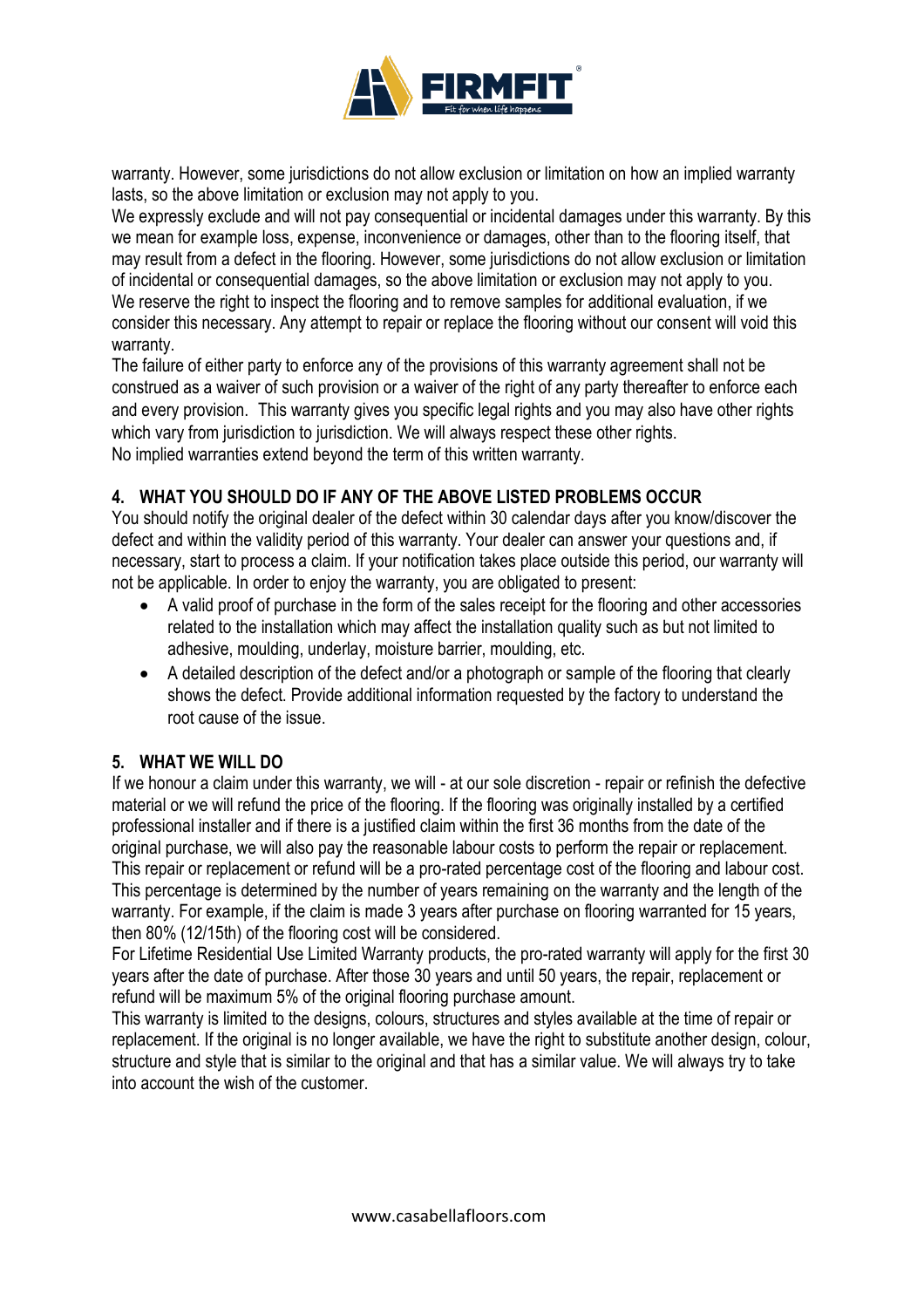

warranty. However, some jurisdictions do not allow exclusion or limitation on how an implied warranty lasts, so the above limitation or exclusion may not apply to you.

We expressly exclude and will not pay consequential or incidental damages under this warranty. By this we mean for example loss, expense, inconvenience or damages, other than to the flooring itself, that may result from a defect in the flooring. However, some jurisdictions do not allow exclusion or limitation of incidental or consequential damages, so the above limitation or exclusion may not apply to you. We reserve the right to inspect the flooring and to remove samples for additional evaluation, if we consider this necessary. Any attempt to repair or replace the flooring without our consent will void this warranty.

The failure of either party to enforce any of the provisions of this warranty agreement shall not be construed as a waiver of such provision or a waiver of the right of any party thereafter to enforce each and every provision. This warranty gives you specific legal rights and you may also have other rights which vary from jurisdiction to jurisdiction. We will always respect these other rights. No implied warranties extend beyond the term of this written warranty.

# **4. WHAT YOU SHOULD DO IF ANY OF THE ABOVE LISTED PROBLEMS OCCUR**

You should notify the original dealer of the defect within 30 calendar days after you know/discover the defect and within the validity period of this warranty. Your dealer can answer your questions and, if necessary, start to process a claim. If your notification takes place outside this period, our warranty will not be applicable. In order to enjoy the warranty, you are obligated to present:

- A valid proof of purchase in the form of the sales receipt for the flooring and other accessories related to the installation which may affect the installation quality such as but not limited to adhesive, moulding, underlay, moisture barrier, moulding, etc.
- A detailed description of the defect and/or a photograph or sample of the flooring that clearly shows the defect. Provide additional information requested by the factory to understand the root cause of the issue.

#### **5. WHAT WE WILL DO**

If we honour a claim under this warranty, we will - at our sole discretion - repair or refinish the defective material or we will refund the price of the flooring. If the flooring was originally installed by a certified professional installer and if there is a justified claim within the first 36 months from the date of the original purchase, we will also pay the reasonable labour costs to perform the repair or replacement. This repair or replacement or refund will be a pro-rated percentage cost of the flooring and labour cost. This percentage is determined by the number of years remaining on the warranty and the length of the warranty. For example, if the claim is made 3 years after purchase on flooring warranted for 15 years, then 80% (12/15th) of the flooring cost will be considered.

For Lifetime Residential Use Limited Warranty products, the pro-rated warranty will apply for the first 30 years after the date of purchase. After those 30 years and until 50 years, the repair, replacement or refund will be maximum 5% of the original flooring purchase amount.

This warranty is limited to the designs, colours, structures and styles available at the time of repair or replacement. If the original is no longer available, we have the right to substitute another design, colour, structure and style that is similar to the original and that has a similar value. We will always try to take into account the wish of the customer.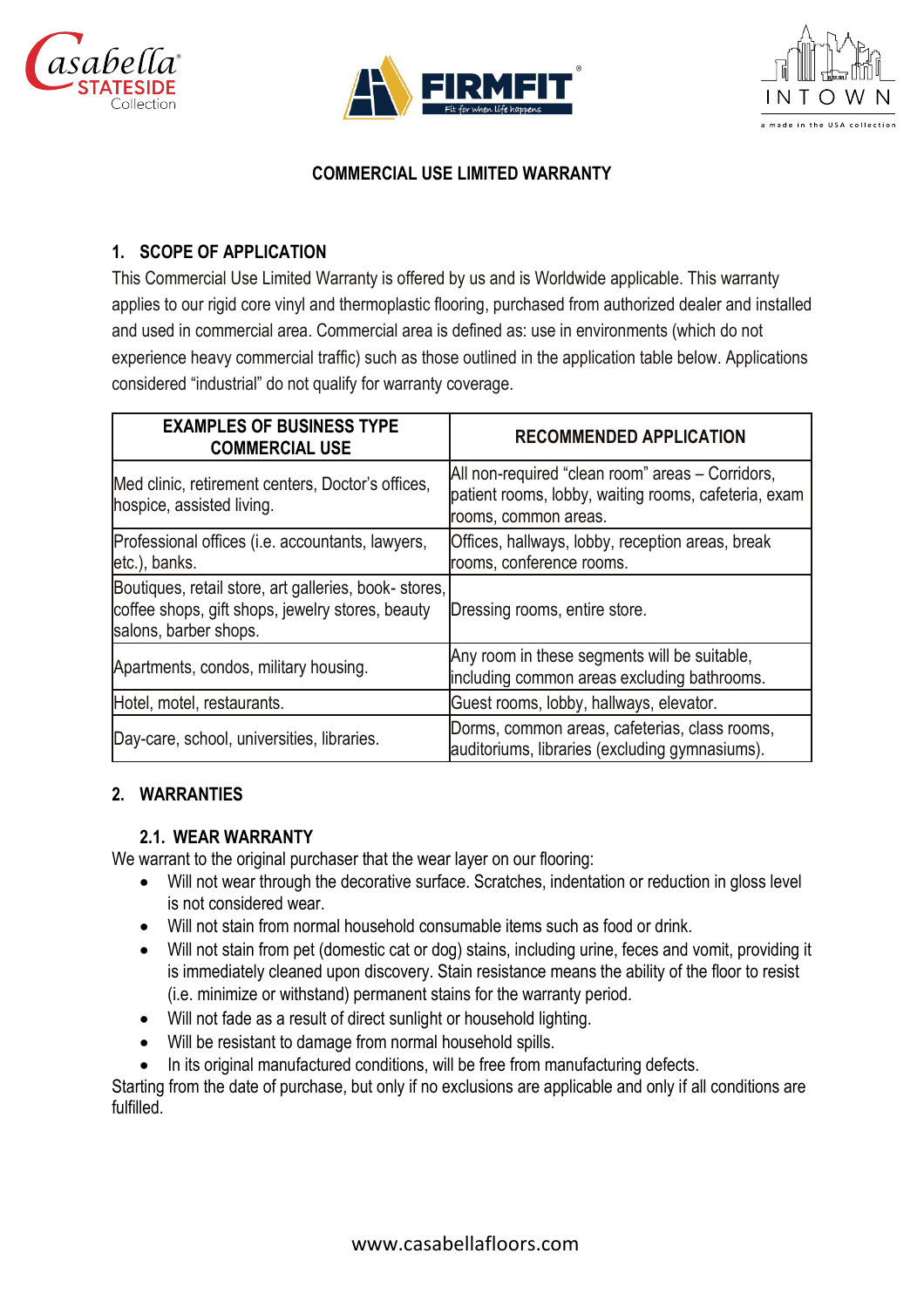





## **COMMERCIAL USE LIMITED WARRANTY**

## **1. SCOPE OF APPLICATION**

This Commercial Use Limited Warranty is offered by us and is Worldwide applicable. This warranty applies to our rigid core vinyl and thermoplastic flooring, purchased from authorized dealer and installed and used in commercial area. Commercial area is defined as: use in environments (which do not experience heavy commercial traffic) such as those outlined in the application table below. Applications considered "industrial" do not qualify for warranty coverage.

| <b>EXAMPLES OF BUSINESS TYPE</b><br><b>COMMERCIAL USE</b>                                                                         | <b>RECOMMENDED APPLICATION</b>                                                                                                   |
|-----------------------------------------------------------------------------------------------------------------------------------|----------------------------------------------------------------------------------------------------------------------------------|
| Med clinic, retirement centers, Doctor's offices,<br>hospice, assisted living.                                                    | All non-required "clean room" areas - Corridors,<br>patient rooms, lobby, waiting rooms, cafeteria, exam<br>rooms, common areas. |
| Professional offices (i.e. accountants, lawyers,<br>etc.), banks.                                                                 | Offices, hallways, lobby, reception areas, break<br>rooms, conference rooms.                                                     |
| Boutiques, retail store, art galleries, book-stores,<br>coffee shops, gift shops, jewelry stores, beauty<br>salons, barber shops. | Dressing rooms, entire store.                                                                                                    |
| Apartments, condos, military housing.                                                                                             | Any room in these segments will be suitable,<br>including common areas excluding bathrooms.                                      |
| Hotel, motel, restaurants.                                                                                                        | Guest rooms, lobby, hallways, elevator.                                                                                          |
| Day-care, school, universities, libraries.                                                                                        | Dorms, common areas, cafeterias, class rooms,<br>auditoriums, libraries (excluding gymnasiums).                                  |

#### **2. WARRANTIES**

# **2.1. WEAR WARRANTY**

We warrant to the original purchaser that the wear layer on our flooring:

- Will not wear through the decorative surface. Scratches, indentation or reduction in gloss level is not considered wear.
- Will not stain from normal household consumable items such as food or drink.
- Will not stain from pet (domestic cat or dog) stains, including urine, feces and vomit, providing it is immediately cleaned upon discovery. Stain resistance means the ability of the floor to resist (i.e. minimize or withstand) permanent stains for the warranty period.
- Will not fade as a result of direct sunlight or household lighting.
- Will be resistant to damage from normal household spills.
- In its original manufactured conditions, will be free from manufacturing defects.

Starting from the date of purchase, but only if no exclusions are applicable and only if all conditions are fulfilled.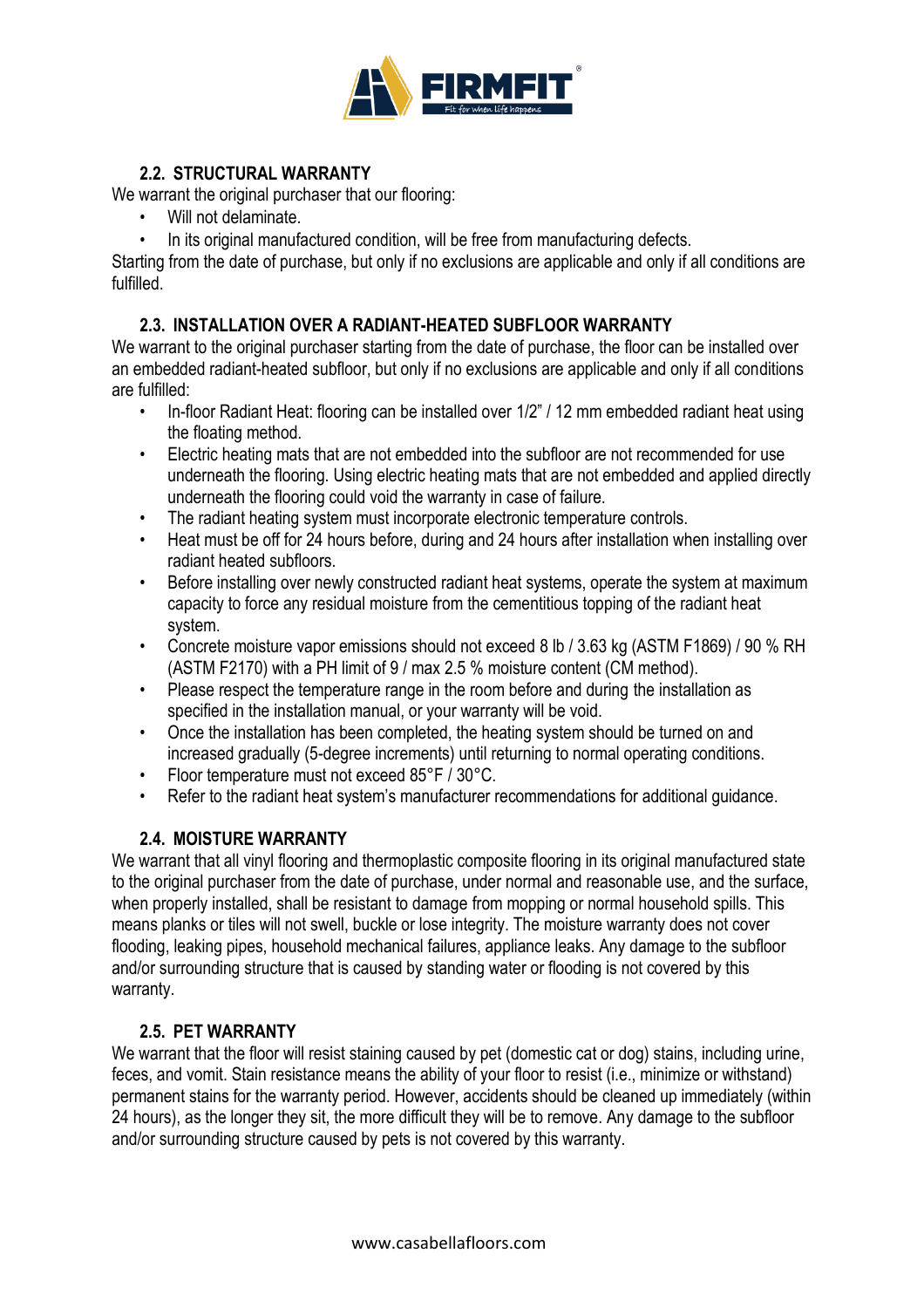

# **2.2. STRUCTURAL WARRANTY**

We warrant the original purchaser that our flooring:

- Will not delaminate.
- In its original manufactured condition, will be free from manufacturing defects.

Starting from the date of purchase, but only if no exclusions are applicable and only if all conditions are fulfilled.

## **2.3. INSTALLATION OVER A RADIANT-HEATED SUBFLOOR WARRANTY**

We warrant to the original purchaser starting from the date of purchase, the floor can be installed over an embedded radiant-heated subfloor, but only if no exclusions are applicable and only if all conditions are fulfilled:

- In-floor Radiant Heat: flooring can be installed over 1/2" / 12 mm embedded radiant heat using the floating method.
- Electric heating mats that are not embedded into the subfloor are not recommended for use underneath the flooring. Using electric heating mats that are not embedded and applied directly underneath the flooring could void the warranty in case of failure.
- The radiant heating system must incorporate electronic temperature controls.
- Heat must be off for 24 hours before, during and 24 hours after installation when installing over radiant heated subfloors.
- Before installing over newly constructed radiant heat systems, operate the system at maximum capacity to force any residual moisture from the cementitious topping of the radiant heat system.
- Concrete moisture vapor emissions should not exceed 8 lb / 3.63 kg (ASTM F1869) / 90 % RH (ASTM F2170) with a PH limit of 9 / max 2.5 % moisture content (CM method).
- Please respect the temperature range in the room before and during the installation as specified in the installation manual, or your warranty will be void.
- Once the installation has been completed, the heating system should be turned on and increased gradually (5-degree increments) until returning to normal operating conditions.
- Floor temperature must not exceed 85°F / 30°C.
- Refer to the radiant heat system's manufacturer recommendations for additional guidance.

#### **2.4. MOISTURE WARRANTY**

We warrant that all vinyl flooring and thermoplastic composite flooring in its original manufactured state to the original purchaser from the date of purchase, under normal and reasonable use, and the surface, when properly installed, shall be resistant to damage from mopping or normal household spills. This means planks or tiles will not swell, buckle or lose integrity. The moisture warranty does not cover flooding, leaking pipes, household mechanical failures, appliance leaks. Any damage to the subfloor and/or surrounding structure that is caused by standing water or flooding is not covered by this warranty.

#### **2.5. PET WARRANTY**

We warrant that the floor will resist staining caused by pet (domestic cat or dog) stains, including urine, feces, and vomit. Stain resistance means the ability of your floor to resist (i.e., minimize or withstand) permanent stains for the warranty period. However, accidents should be cleaned up immediately (within 24 hours), as the longer they sit, the more difficult they will be to remove. Any damage to the subfloor and/or surrounding structure caused by pets is not covered by this warranty.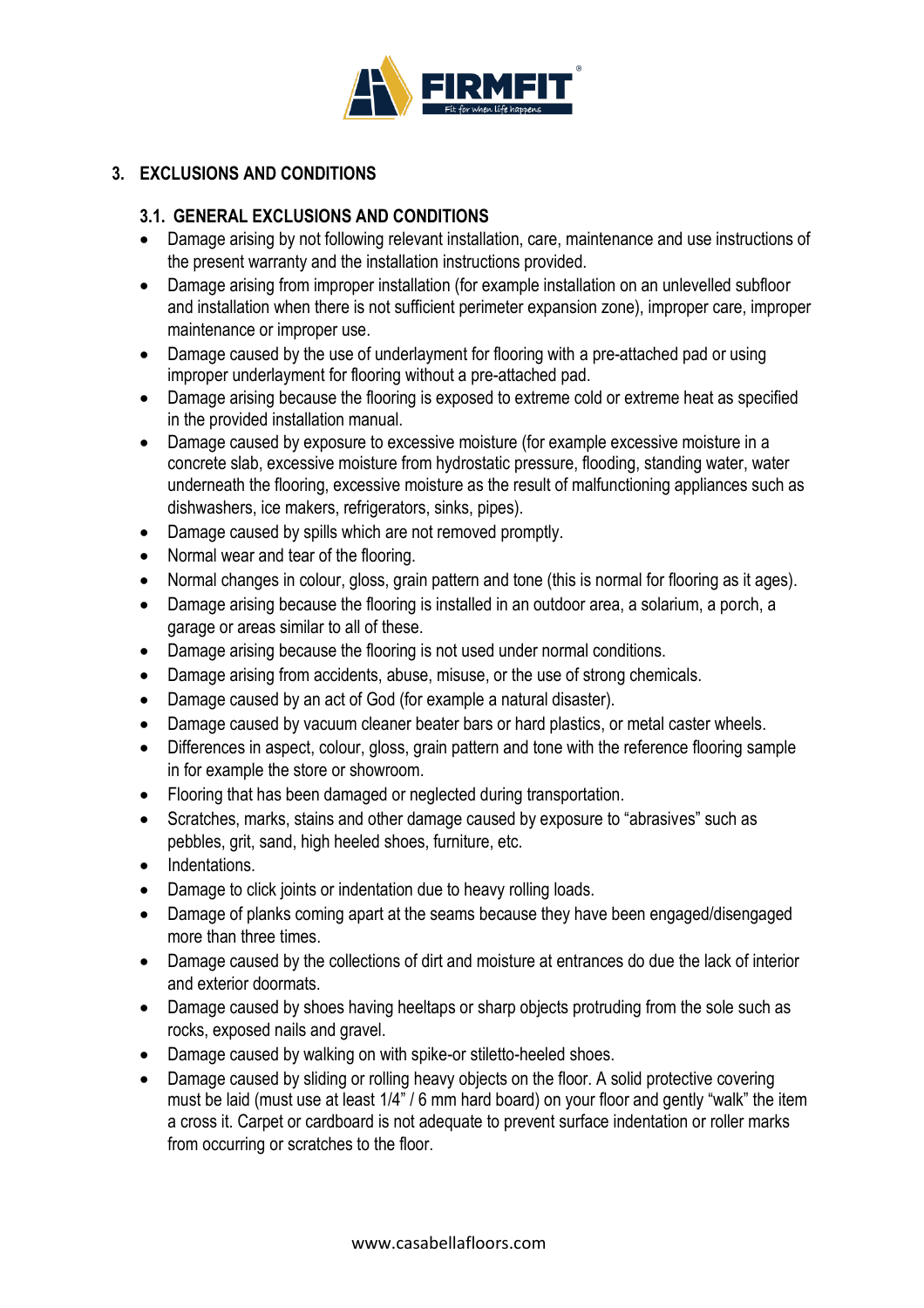

# **3. EXCLUSIONS AND CONDITIONS**

## **3.1. GENERAL EXCLUSIONS AND CONDITIONS**

- Damage arising by not following relevant installation, care, maintenance and use instructions of the present warranty and the installation instructions provided.
- Damage arising from improper installation (for example installation on an unlevelled subfloor and installation when there is not sufficient perimeter expansion zone), improper care, improper maintenance or improper use.
- Damage caused by the use of underlayment for flooring with a pre-attached pad or using improper underlayment for flooring without a pre-attached pad.
- Damage arising because the flooring is exposed to extreme cold or extreme heat as specified in the provided installation manual.
- Damage caused by exposure to excessive moisture (for example excessive moisture in a concrete slab, excessive moisture from hydrostatic pressure, flooding, standing water, water underneath the flooring, excessive moisture as the result of malfunctioning appliances such as dishwashers, ice makers, refrigerators, sinks, pipes).
- Damage caused by spills which are not removed promptly.
- Normal wear and tear of the flooring.
- Normal changes in colour, gloss, grain pattern and tone (this is normal for flooring as it ages).
- Damage arising because the flooring is installed in an outdoor area, a solarium, a porch, a garage or areas similar to all of these.
- Damage arising because the flooring is not used under normal conditions.
- Damage arising from accidents, abuse, misuse, or the use of strong chemicals.
- Damage caused by an act of God (for example a natural disaster).
- Damage caused by vacuum cleaner beater bars or hard plastics, or metal caster wheels.
- Differences in aspect, colour, gloss, grain pattern and tone with the reference flooring sample in for example the store or showroom.
- Flooring that has been damaged or neglected during transportation.
- Scratches, marks, stains and other damage caused by exposure to "abrasives" such as pebbles, grit, sand, high heeled shoes, furniture, etc.
- Indentations.
- Damage to click joints or indentation due to heavy rolling loads.
- Damage of planks coming apart at the seams because they have been engaged/disengaged more than three times.
- Damage caused by the collections of dirt and moisture at entrances do due the lack of interior and exterior doormats.
- Damage caused by shoes having heeltaps or sharp objects protruding from the sole such as rocks, exposed nails and gravel.
- Damage caused by walking on with spike-or stiletto-heeled shoes.
- Damage caused by sliding or rolling heavy objects on the floor. A solid protective covering must be laid (must use at least 1/4" / 6 mm hard board) on your floor and gently "walk" the item a cross it. Carpet or cardboard is not adequate to prevent surface indentation or roller marks from occurring or scratches to the floor.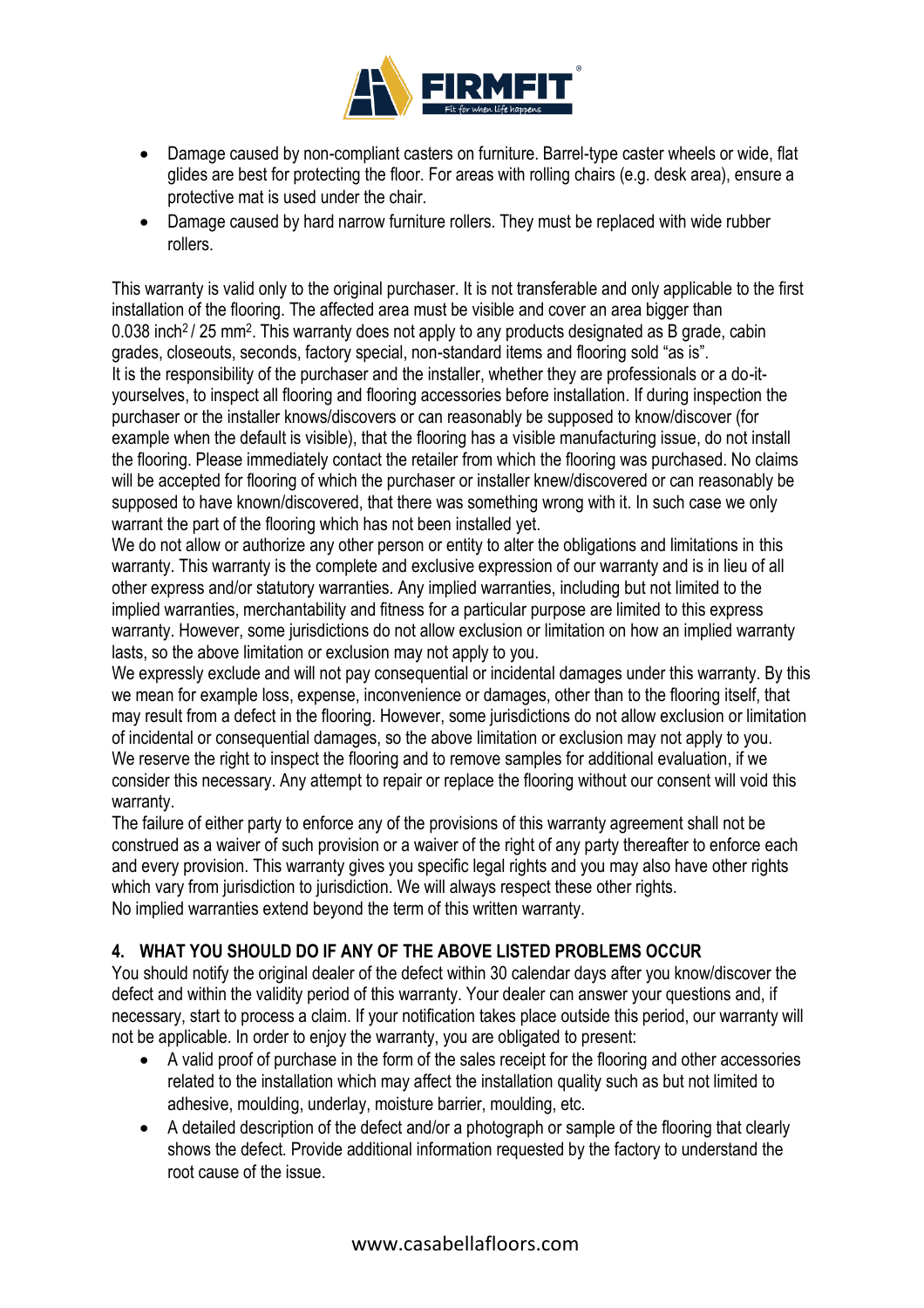

- Damage caused by non-compliant casters on furniture. Barrel-type caster wheels or wide, flat glides are best for protecting the floor. For areas with rolling chairs (e.g. desk area), ensure a protective mat is used under the chair.
- Damage caused by hard narrow furniture rollers. They must be replaced with wide rubber rollers.

This warranty is valid only to the original purchaser. It is not transferable and only applicable to the first installation of the flooring. The affected area must be visible and cover an area bigger than 0.038 inch<sup>2</sup> / 25 mm<sup>2</sup>. This warranty does not apply to any products designated as B grade, cabin grades, closeouts, seconds, factory special, non-standard items and flooring sold "as is". It is the responsibility of the purchaser and the installer, whether they are professionals or a do-ityourselves, to inspect all flooring and flooring accessories before installation. If during inspection the purchaser or the installer knows/discovers or can reasonably be supposed to know/discover (for example when the default is visible), that the flooring has a visible manufacturing issue, do not install the flooring. Please immediately contact the retailer from which the flooring was purchased. No claims will be accepted for flooring of which the purchaser or installer knew/discovered or can reasonably be supposed to have known/discovered, that there was something wrong with it. In such case we only warrant the part of the flooring which has not been installed yet.

We do not allow or authorize any other person or entity to alter the obligations and limitations in this warranty. This warranty is the complete and exclusive expression of our warranty and is in lieu of all other express and/or statutory warranties. Any implied warranties, including but not limited to the implied warranties, merchantability and fitness for a particular purpose are limited to this express warranty. However, some jurisdictions do not allow exclusion or limitation on how an implied warranty lasts, so the above limitation or exclusion may not apply to you.

We expressly exclude and will not pay consequential or incidental damages under this warranty. By this we mean for example loss, expense, inconvenience or damages, other than to the flooring itself, that may result from a defect in the flooring. However, some jurisdictions do not allow exclusion or limitation of incidental or consequential damages, so the above limitation or exclusion may not apply to you. We reserve the right to inspect the flooring and to remove samples for additional evaluation, if we consider this necessary. Any attempt to repair or replace the flooring without our consent will void this warranty.

The failure of either party to enforce any of the provisions of this warranty agreement shall not be construed as a waiver of such provision or a waiver of the right of any party thereafter to enforce each and every provision. This warranty gives you specific legal rights and you may also have other rights which vary from jurisdiction to jurisdiction. We will always respect these other rights. No implied warranties extend beyond the term of this written warranty.

# **4. WHAT YOU SHOULD DO IF ANY OF THE ABOVE LISTED PROBLEMS OCCUR**

You should notify the original dealer of the defect within 30 calendar days after you know/discover the defect and within the validity period of this warranty. Your dealer can answer your questions and, if necessary, start to process a claim. If your notification takes place outside this period, our warranty will not be applicable. In order to enjoy the warranty, you are obligated to present:

- A valid proof of purchase in the form of the sales receipt for the flooring and other accessories related to the installation which may affect the installation quality such as but not limited to adhesive, moulding, underlay, moisture barrier, moulding, etc.
- A detailed description of the defect and/or a photograph or sample of the flooring that clearly shows the defect. Provide additional information requested by the factory to understand the root cause of the issue.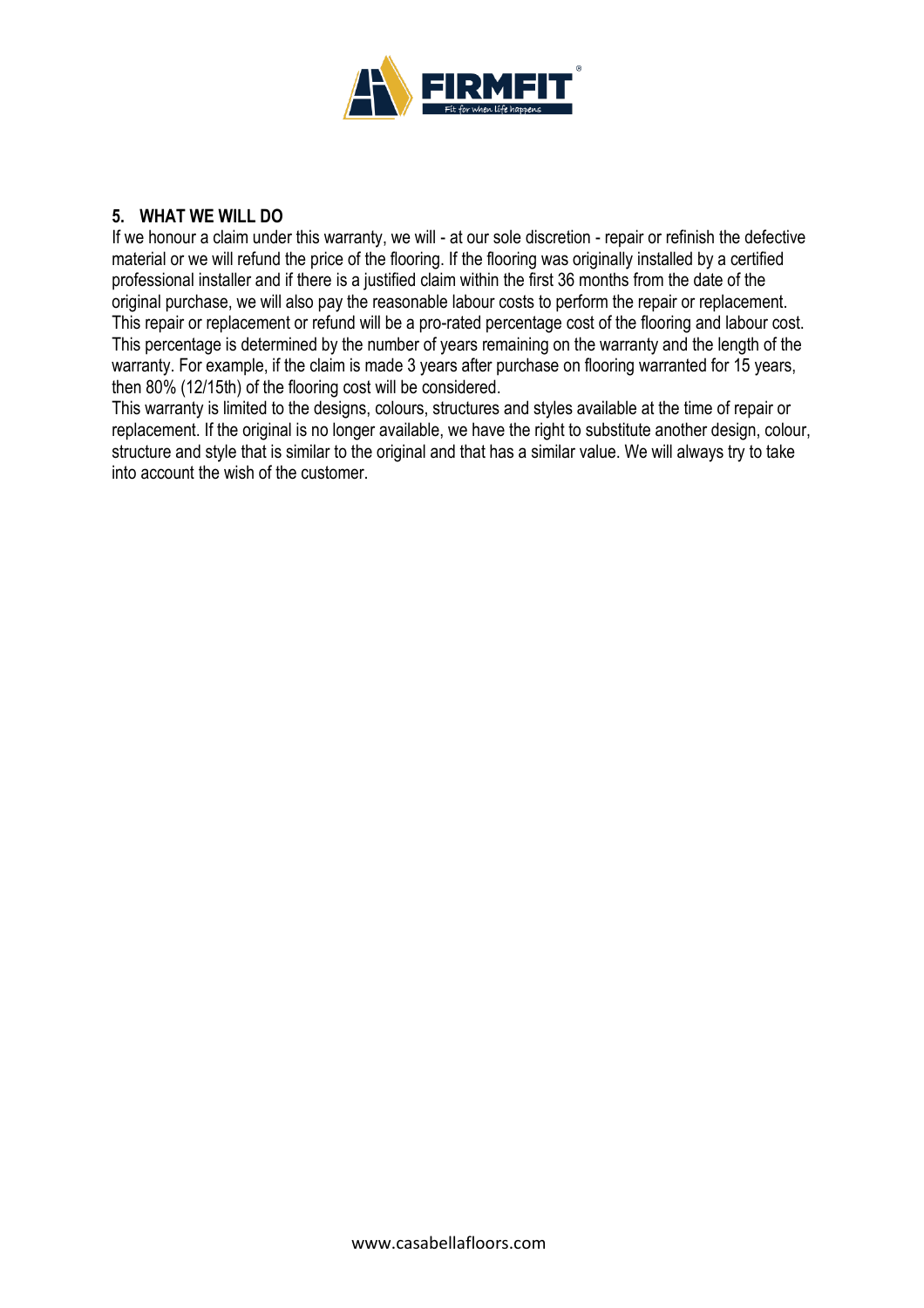

#### **5. WHAT WE WILL DO**

If we honour a claim under this warranty, we will - at our sole discretion - repair or refinish the defective material or we will refund the price of the flooring. If the flooring was originally installed by a certified professional installer and if there is a justified claim within the first 36 months from the date of the original purchase, we will also pay the reasonable labour costs to perform the repair or replacement. This repair or replacement or refund will be a pro-rated percentage cost of the flooring and labour cost. This percentage is determined by the number of years remaining on the warranty and the length of the warranty. For example, if the claim is made 3 years after purchase on flooring warranted for 15 years, then 80% (12/15th) of the flooring cost will be considered.

This warranty is limited to the designs, colours, structures and styles available at the time of repair or replacement. If the original is no longer available, we have the right to substitute another design, colour, structure and style that is similar to the original and that has a similar value. We will always try to take into account the wish of the customer.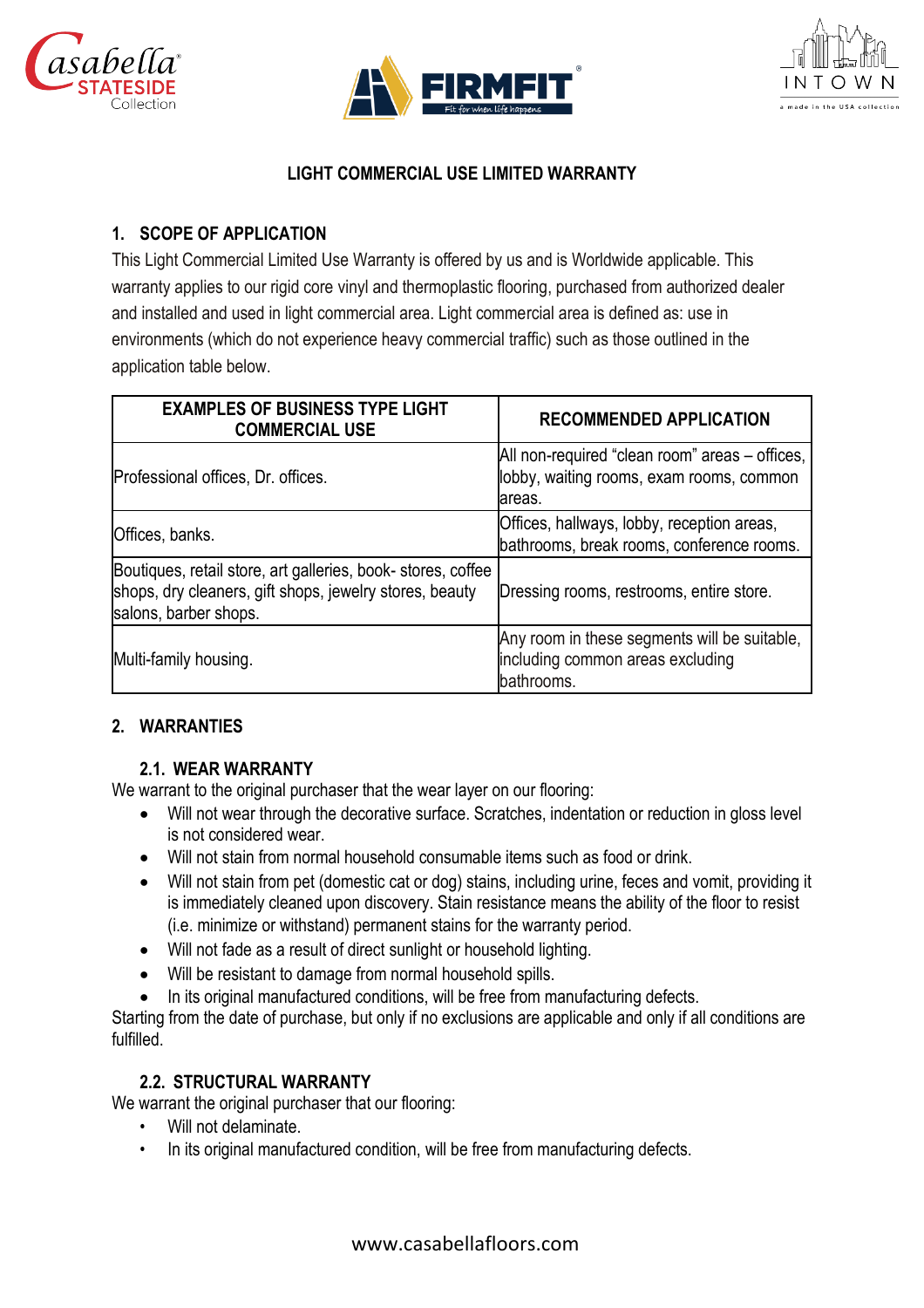





# **LIGHT COMMERCIAL USE LIMITED WARRANTY**

# **1. SCOPE OF APPLICATION**

This Light Commercial Limited Use Warranty is offered by us and is Worldwide applicable. This warranty applies to our rigid core vinyl and thermoplastic flooring, purchased from authorized dealer and installed and used in light commercial area. Light commercial area is defined as: use in environments (which do not experience heavy commercial traffic) such as those outlined in the application table below.

| <b>EXAMPLES OF BUSINESS TYPE LIGHT</b><br><b>COMMERCIAL USE</b>                                                                                  | <b>RECOMMENDED APPLICATION</b>                                                                        |
|--------------------------------------------------------------------------------------------------------------------------------------------------|-------------------------------------------------------------------------------------------------------|
| Professional offices, Dr. offices.                                                                                                               | All non-required "clean room" areas – offices,<br>lobby, waiting rooms, exam rooms, common<br>lareas. |
| Offices, banks.                                                                                                                                  | Offices, hallways, lobby, reception areas,<br>bathrooms, break rooms, conference rooms.               |
| Boutiques, retail store, art galleries, book- stores, coffee<br>shops, dry cleaners, gift shops, jewelry stores, beauty<br>salons, barber shops. | Dressing rooms, restrooms, entire store.                                                              |
| Multi-family housing.                                                                                                                            | Any room in these segments will be suitable,<br>including common areas excluding<br>bathrooms.        |

# **2. WARRANTIES**

# **2.1. WEAR WARRANTY**

We warrant to the original purchaser that the wear layer on our flooring:

- Will not wear through the decorative surface. Scratches, indentation or reduction in gloss level is not considered wear.
- Will not stain from normal household consumable items such as food or drink.
- Will not stain from pet (domestic cat or dog) stains, including urine, feces and vomit, providing it is immediately cleaned upon discovery. Stain resistance means the ability of the floor to resist (i.e. minimize or withstand) permanent stains for the warranty period.
- Will not fade as a result of direct sunlight or household lighting.
- Will be resistant to damage from normal household spills.
- In its original manufactured conditions, will be free from manufacturing defects.

Starting from the date of purchase, but only if no exclusions are applicable and only if all conditions are fulfilled.

# **2.2. STRUCTURAL WARRANTY**

We warrant the original purchaser that our flooring:

- Will not delaminate.
- In its original manufactured condition, will be free from manufacturing defects.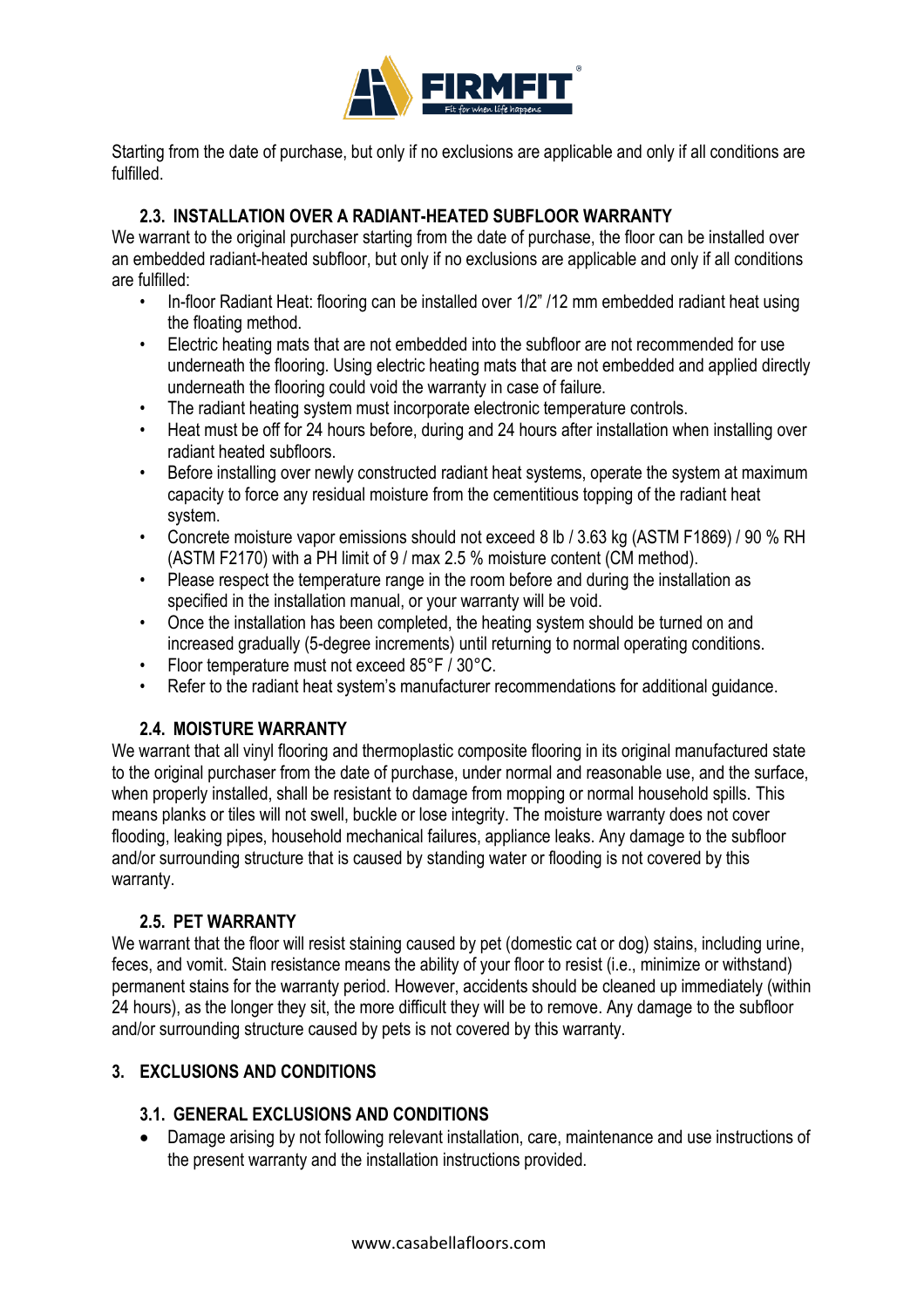

Starting from the date of purchase, but only if no exclusions are applicable and only if all conditions are fulfilled.

#### **2.3. INSTALLATION OVER A RADIANT-HEATED SUBFLOOR WARRANTY**

We warrant to the original purchaser starting from the date of purchase, the floor can be installed over an embedded radiant-heated subfloor, but only if no exclusions are applicable and only if all conditions are fulfilled:

- In-floor Radiant Heat: flooring can be installed over 1/2" /12 mm embedded radiant heat using the floating method.
- Electric heating mats that are not embedded into the subfloor are not recommended for use underneath the flooring. Using electric heating mats that are not embedded and applied directly underneath the flooring could void the warranty in case of failure.
- The radiant heating system must incorporate electronic temperature controls.
- Heat must be off for 24 hours before, during and 24 hours after installation when installing over radiant heated subfloors.
- Before installing over newly constructed radiant heat systems, operate the system at maximum capacity to force any residual moisture from the cementitious topping of the radiant heat system.
- Concrete moisture vapor emissions should not exceed 8 lb / 3.63 kg (ASTM F1869) / 90 % RH (ASTM F2170) with a PH limit of 9 / max 2.5 % moisture content (CM method).
- Please respect the temperature range in the room before and during the installation as specified in the installation manual, or your warranty will be void.
- Once the installation has been completed, the heating system should be turned on and increased gradually (5-degree increments) until returning to normal operating conditions.
- Floor temperature must not exceed 85°F / 30°C.
- Refer to the radiant heat system's manufacturer recommendations for additional guidance.

# **2.4. MOISTURE WARRANTY**

We warrant that all vinyl flooring and thermoplastic composite flooring in its original manufactured state to the original purchaser from the date of purchase, under normal and reasonable use, and the surface, when properly installed, shall be resistant to damage from mopping or normal household spills. This means planks or tiles will not swell, buckle or lose integrity. The moisture warranty does not cover flooding, leaking pipes, household mechanical failures, appliance leaks. Any damage to the subfloor and/or surrounding structure that is caused by standing water or flooding is not covered by this warranty.

#### **2.5. PET WARRANTY**

We warrant that the floor will resist staining caused by pet (domestic cat or dog) stains, including urine, feces, and vomit. Stain resistance means the ability of your floor to resist (i.e., minimize or withstand) permanent stains for the warranty period. However, accidents should be cleaned up immediately (within 24 hours), as the longer they sit, the more difficult they will be to remove. Any damage to the subfloor and/or surrounding structure caused by pets is not covered by this warranty.

#### **3. EXCLUSIONS AND CONDITIONS**

#### **3.1. GENERAL EXCLUSIONS AND CONDITIONS**

• Damage arising by not following relevant installation, care, maintenance and use instructions of the present warranty and the installation instructions provided.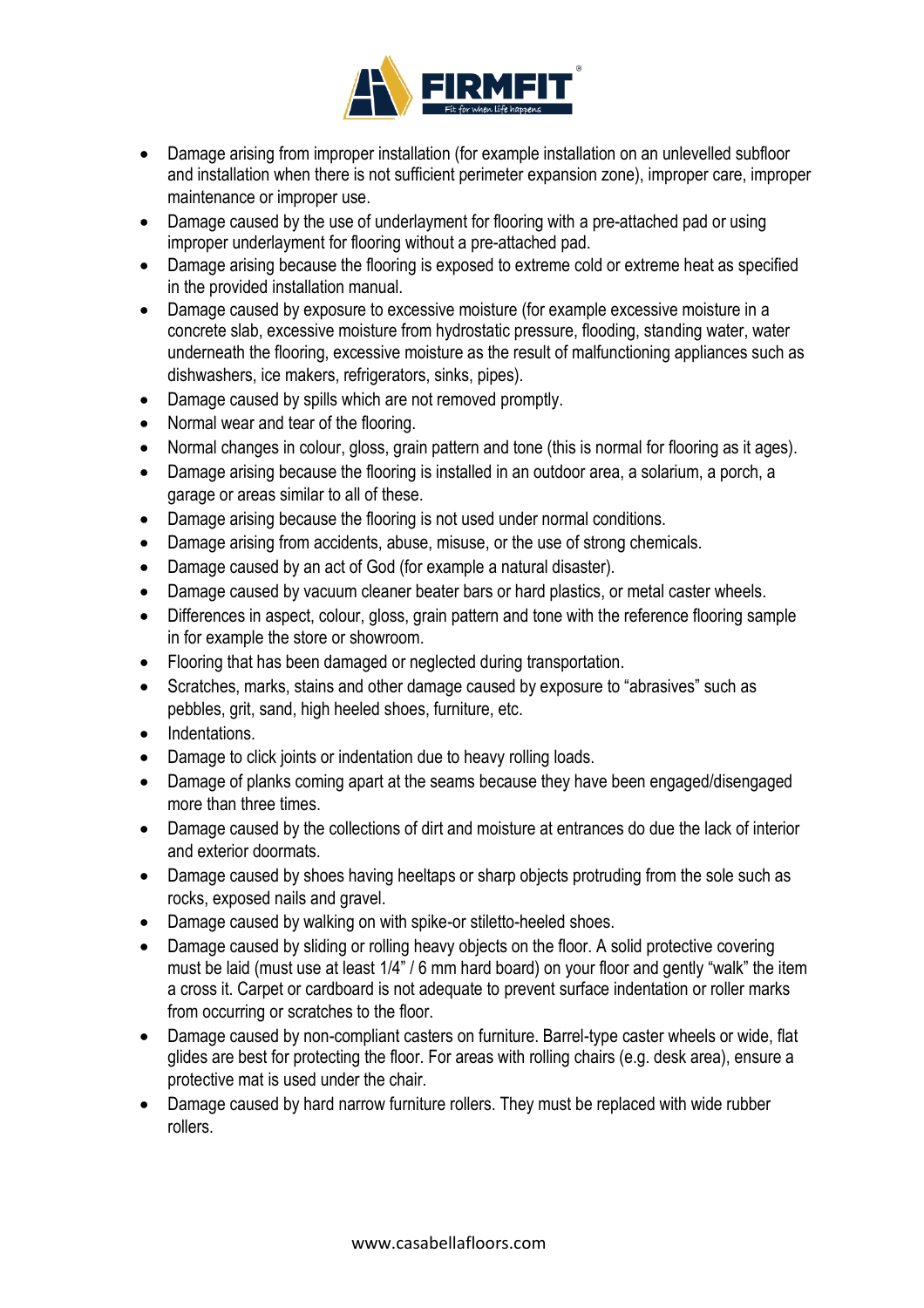

- Damage arising from improper installation (for example installation on an unlevelled subfloor and installation when there is not sufficient perimeter expansion zone), improper care, improper maintenance or improper use.
- Damage caused by the use of underlayment for flooring with a pre-attached pad or using improper underlayment for flooring without a pre-attached pad.
- Damage arising because the flooring is exposed to extreme cold or extreme heat as specified in the provided installation manual.
- Damage caused by exposure to excessive moisture (for example excessive moisture in a concrete slab, excessive moisture from hydrostatic pressure, flooding, standing water, water underneath the flooring, excessive moisture as the result of malfunctioning appliances such as dishwashers, ice makers, refrigerators, sinks, pipes).
- Damage caused by spills which are not removed promptly.
- Normal wear and tear of the flooring.
- Normal changes in colour, gloss, grain pattern and tone (this is normal for flooring as it ages).
- Damage arising because the flooring is installed in an outdoor area, a solarium, a porch, a garage or areas similar to all of these.
- Damage arising because the flooring is not used under normal conditions.
- Damage arising from accidents, abuse, misuse, or the use of strong chemicals.
- Damage caused by an act of God (for example a natural disaster).
- Damage caused by vacuum cleaner beater bars or hard plastics, or metal caster wheels.
- Differences in aspect, colour, gloss, grain pattern and tone with the reference flooring sample in for example the store or showroom.
- Flooring that has been damaged or neglected during transportation.
- Scratches, marks, stains and other damage caused by exposure to "abrasives" such as pebbles, grit, sand, high heeled shoes, furniture, etc.
- Indentations.
- Damage to click joints or indentation due to heavy rolling loads.
- Damage of planks coming apart at the seams because they have been engaged/disengaged more than three times.
- Damage caused by the collections of dirt and moisture at entrances do due the lack of interior and exterior doormats.
- Damage caused by shoes having heeltaps or sharp objects protruding from the sole such as rocks, exposed nails and gravel.
- Damage caused by walking on with spike-or stiletto-heeled shoes.
- Damage caused by sliding or rolling heavy objects on the floor. A solid protective covering must be laid (must use at least 1/4" / 6 mm hard board) on your floor and gently "walk" the item a cross it. Carpet or cardboard is not adequate to prevent surface indentation or roller marks from occurring or scratches to the floor.
- Damage caused by non-compliant casters on furniture. Barrel-type caster wheels or wide, flat glides are best for protecting the floor. For areas with rolling chairs (e.g. desk area), ensure a protective mat is used under the chair.
- Damage caused by hard narrow furniture rollers. They must be replaced with wide rubber rollers.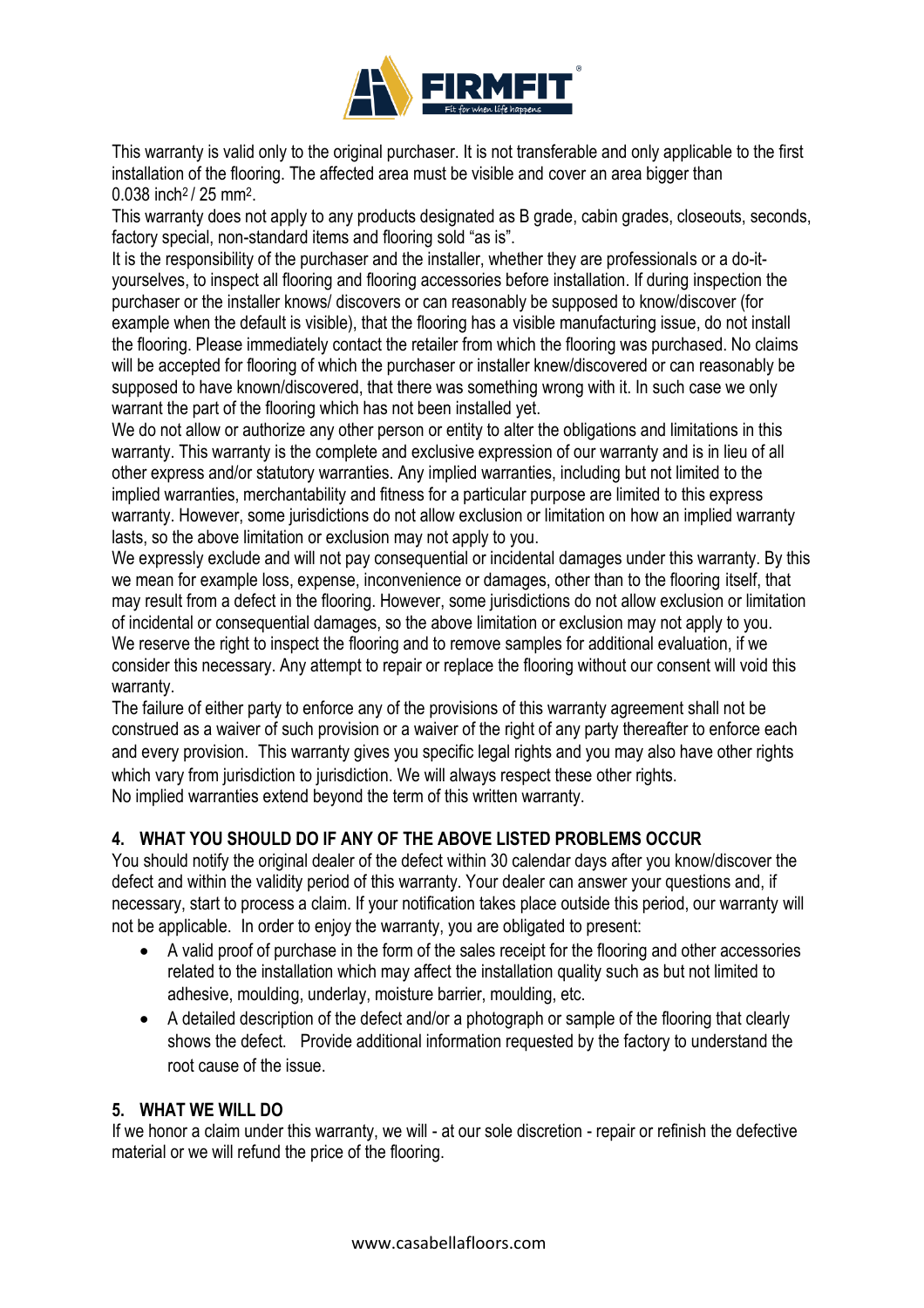

This warranty is valid only to the original purchaser. It is not transferable and only applicable to the first installation of the flooring. The affected area must be visible and cover an area bigger than 0.038 inch<sup>2</sup> / 25 mm<sup>2</sup>.

This warranty does not apply to any products designated as B grade, cabin grades, closeouts, seconds, factory special, non-standard items and flooring sold "as is".

It is the responsibility of the purchaser and the installer, whether they are professionals or a do-ityourselves, to inspect all flooring and flooring accessories before installation. If during inspection the purchaser or the installer knows/ discovers or can reasonably be supposed to know/discover (for example when the default is visible), that the flooring has a visible manufacturing issue, do not install the flooring. Please immediately contact the retailer from which the flooring was purchased. No claims will be accepted for flooring of which the purchaser or installer knew/discovered or can reasonably be supposed to have known/discovered, that there was something wrong with it. In such case we only warrant the part of the flooring which has not been installed yet.

We do not allow or authorize any other person or entity to alter the obligations and limitations in this warranty. This warranty is the complete and exclusive expression of our warranty and is in lieu of all other express and/or statutory warranties. Any implied warranties, including but not limited to the implied warranties, merchantability and fitness for a particular purpose are limited to this express warranty. However, some jurisdictions do not allow exclusion or limitation on how an implied warranty lasts, so the above limitation or exclusion may not apply to you.

We expressly exclude and will not pay consequential or incidental damages under this warranty. By this we mean for example loss, expense, inconvenience or damages, other than to the flooring itself, that may result from a defect in the flooring. However, some jurisdictions do not allow exclusion or limitation of incidental or consequential damages, so the above limitation or exclusion may not apply to you. We reserve the right to inspect the flooring and to remove samples for additional evaluation, if we consider this necessary. Any attempt to repair or replace the flooring without our consent will void this warranty.

The failure of either party to enforce any of the provisions of this warranty agreement shall not be construed as a waiver of such provision or a waiver of the right of any party thereafter to enforce each and every provision. This warranty gives you specific legal rights and you may also have other rights which vary from jurisdiction to jurisdiction. We will always respect these other rights. No implied warranties extend beyond the term of this written warranty.

# **4. WHAT YOU SHOULD DO IF ANY OF THE ABOVE LISTED PROBLEMS OCCUR**

You should notify the original dealer of the defect within 30 calendar days after you know/discover the defect and within the validity period of this warranty. Your dealer can answer your questions and, if necessary, start to process a claim. If your notification takes place outside this period, our warranty will not be applicable. In order to enjoy the warranty, you are obligated to present:

- A valid proof of purchase in the form of the sales receipt for the flooring and other accessories related to the installation which may affect the installation quality such as but not limited to adhesive, moulding, underlay, moisture barrier, moulding, etc.
- A detailed description of the defect and/or a photograph or sample of the flooring that clearly shows the defect. Provide additional information requested by the factory to understand the root cause of the issue.

#### **5. WHAT WE WILL DO**

If we honor a claim under this warranty, we will - at our sole discretion - repair or refinish the defective material or we will refund the price of the flooring.